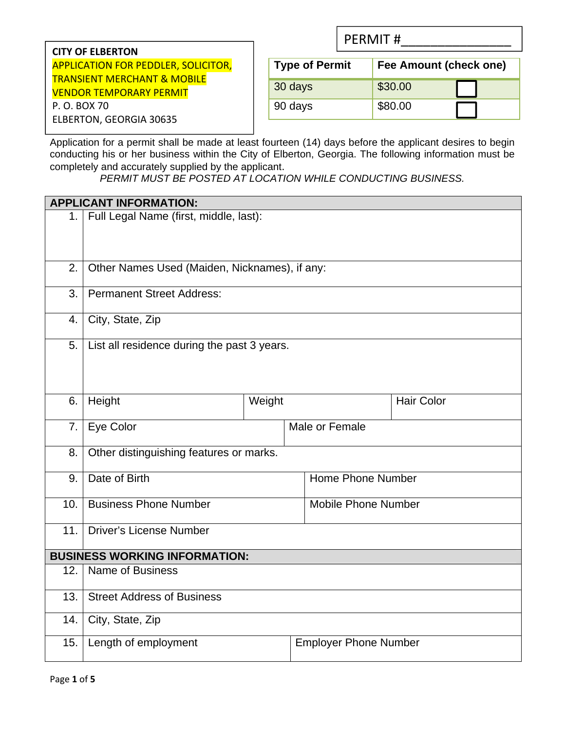| <b>CITY OF ELBERTON</b>                    |
|--------------------------------------------|
| <b>APPLICATION FOR PEDDLER, SOLICITOR,</b> |
| <b>TRANSIENT MERCHANT &amp; MOBILE</b>     |
| <b>VENDOR TEMPORARY PERMIT</b>             |
| P. O. BOX 70                               |
| <b>ELBERTON, GEORGIA 30635</b>             |

| <b>PERMIT#</b> |  |  |  |  |  |  |  |  |
|----------------|--|--|--|--|--|--|--|--|
|----------------|--|--|--|--|--|--|--|--|

| <b>Type of Permit</b> | Fee Amount (check one) |
|-----------------------|------------------------|
| 30 days               | \$30.00                |
| 90 days               | \$80.00                |

Application for a permit shall be made at least fourteen (14) days before the applicant desires to begin conducting his or her business within the City of Elberton, Georgia. The following information must be completely and accurately supplied by the applicant.

*PERMIT MUST BE POSTED AT LOCATION WHILE CONDUCTING BUSINESS.* 

|     | <b>APPLICANT INFORMATION:</b>                 |  |  |                              |                   |
|-----|-----------------------------------------------|--|--|------------------------------|-------------------|
| 1.  | Full Legal Name (first, middle, last):        |  |  |                              |                   |
|     |                                               |  |  |                              |                   |
|     |                                               |  |  |                              |                   |
| 2.  | Other Names Used (Maiden, Nicknames), if any: |  |  |                              |                   |
| 3.  | <b>Permanent Street Address:</b>              |  |  |                              |                   |
| 4.  | City, State, Zip                              |  |  |                              |                   |
| 5.  | List all residence during the past 3 years.   |  |  |                              |                   |
|     |                                               |  |  |                              |                   |
|     |                                               |  |  |                              |                   |
| 6.  | Height<br>Weight                              |  |  |                              | <b>Hair Color</b> |
| 7.  | Eye Color                                     |  |  | Male or Female               |                   |
|     |                                               |  |  |                              |                   |
| 8.  | Other distinguishing features or marks.       |  |  |                              |                   |
| 9.  | Date of Birth                                 |  |  | Home Phone Number            |                   |
| 10. | <b>Business Phone Number</b>                  |  |  | <b>Mobile Phone Number</b>   |                   |
|     |                                               |  |  |                              |                   |
| 11. | <b>Driver's License Number</b>                |  |  |                              |                   |
|     | <b>BUSINESS WORKING INFORMATION:</b>          |  |  |                              |                   |
| 12. | <b>Name of Business</b>                       |  |  |                              |                   |
| 13. | <b>Street Address of Business</b>             |  |  |                              |                   |
| 14. | City, State, Zip                              |  |  |                              |                   |
| 15. | Length of employment                          |  |  | <b>Employer Phone Number</b> |                   |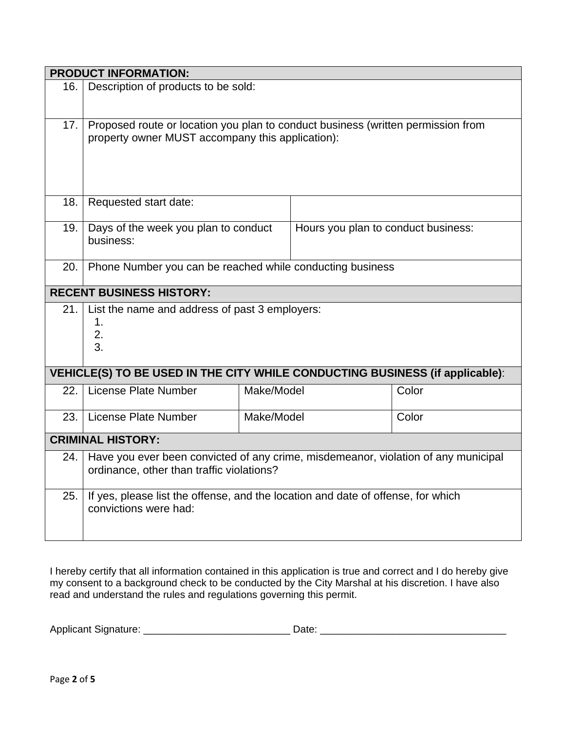|                                                                              | <b>PRODUCT INFORMATION:</b>                                                        |                     |                                     |       |  |  |
|------------------------------------------------------------------------------|------------------------------------------------------------------------------------|---------------------|-------------------------------------|-------|--|--|
| 16.                                                                          | Description of products to be sold:                                                |                     |                                     |       |  |  |
|                                                                              |                                                                                    |                     |                                     |       |  |  |
| 17.                                                                          | Proposed route or location you plan to conduct business (written permission from   |                     |                                     |       |  |  |
|                                                                              | property owner MUST accompany this application):                                   |                     |                                     |       |  |  |
|                                                                              |                                                                                    |                     |                                     |       |  |  |
|                                                                              |                                                                                    |                     |                                     |       |  |  |
| 18.                                                                          | Requested start date:                                                              |                     |                                     |       |  |  |
|                                                                              |                                                                                    |                     |                                     |       |  |  |
| 19.                                                                          | Days of the week you plan to conduct<br>business:                                  |                     | Hours you plan to conduct business: |       |  |  |
|                                                                              |                                                                                    |                     |                                     |       |  |  |
| 20.                                                                          | Phone Number you can be reached while conducting business                          |                     |                                     |       |  |  |
| <b>RECENT BUSINESS HISTORY:</b>                                              |                                                                                    |                     |                                     |       |  |  |
| 21.                                                                          | List the name and address of past 3 employers:                                     |                     |                                     |       |  |  |
|                                                                              | 1.<br>2.                                                                           |                     |                                     |       |  |  |
|                                                                              | 3.                                                                                 |                     |                                     |       |  |  |
| VEHICLE(S) TO BE USED IN THE CITY WHILE CONDUCTING BUSINESS (if applicable): |                                                                                    |                     |                                     |       |  |  |
|                                                                              |                                                                                    |                     |                                     |       |  |  |
| 22.                                                                          | <b>License Plate Number</b>                                                        | Make/Model          |                                     | Color |  |  |
| 23.                                                                          | License Plate Number                                                               | Make/Model<br>Color |                                     |       |  |  |
|                                                                              | <b>CRIMINAL HISTORY:</b>                                                           |                     |                                     |       |  |  |
| 24.                                                                          | Have you ever been convicted of any crime, misdemeanor, violation of any municipal |                     |                                     |       |  |  |
|                                                                              | ordinance, other than traffic violations?                                          |                     |                                     |       |  |  |
| 25.                                                                          | If yes, please list the offense, and the location and date of offense, for which   |                     |                                     |       |  |  |
|                                                                              | convictions were had:                                                              |                     |                                     |       |  |  |
|                                                                              |                                                                                    |                     |                                     |       |  |  |

I hereby certify that all information contained in this application is true and correct and I do hereby give my consent to a background check to be conducted by the City Marshal at his discretion. I have also read and understand the rules and regulations governing this permit.

| Applicant<br>אר |  |  |
|-----------------|--|--|
|-----------------|--|--|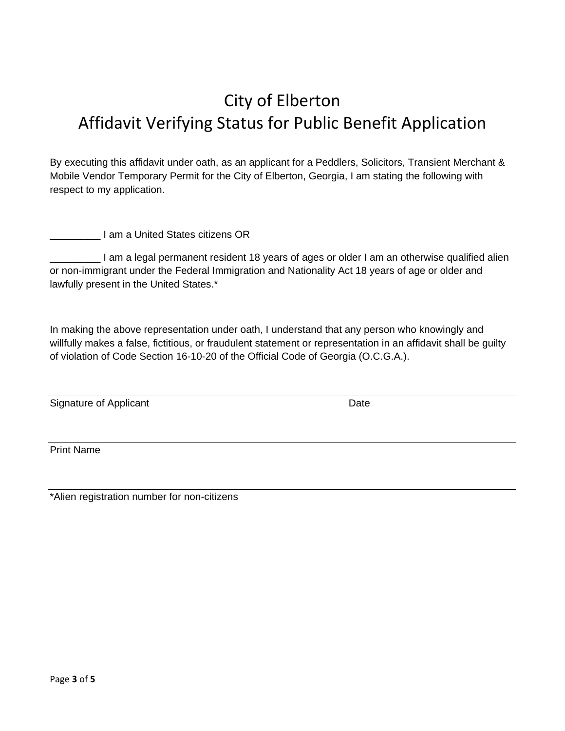## City of Elberton Affidavit Verifying Status for Public Benefit Application

By executing this affidavit under oath, as an applicant for a Peddlers, Solicitors, Transient Merchant & Mobile Vendor Temporary Permit for the City of Elberton, Georgia, I am stating the following with respect to my application.

\_\_\_\_\_\_\_\_\_ I am a United States citizens OR

\_\_\_\_\_\_\_\_\_ I am a legal permanent resident 18 years of ages or older I am an otherwise qualified alien or non-immigrant under the Federal Immigration and Nationality Act 18 years of age or older and lawfully present in the United States.\*

In making the above representation under oath, I understand that any person who knowingly and willfully makes a false, fictitious, or fraudulent statement or representation in an affidavit shall be guilty of violation of Code Section 16-10-20 of the Official Code of Georgia (O.C.G.A.).

Signature of Applicant Date Date Date

Print Name

\*Alien registration number for non-citizens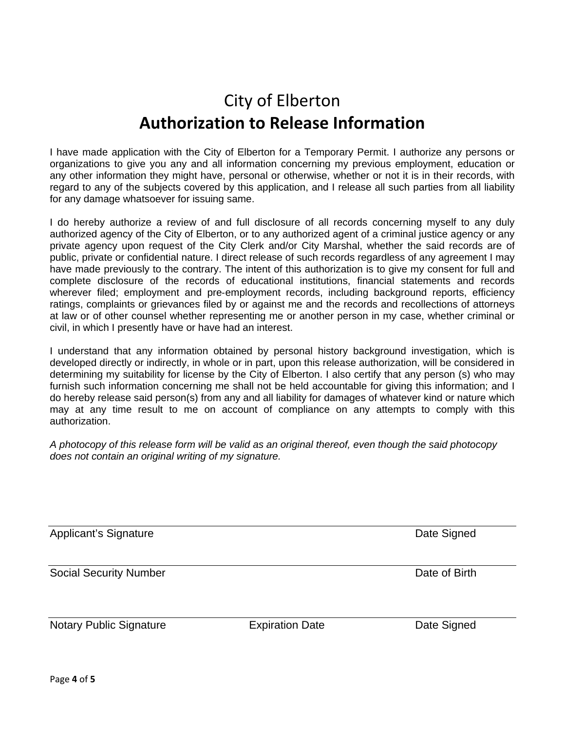## City of Elberton **Authorization to Release Information**

I have made application with the City of Elberton for a Temporary Permit. I authorize any persons or organizations to give you any and all information concerning my previous employment, education or any other information they might have, personal or otherwise, whether or not it is in their records, with regard to any of the subjects covered by this application, and I release all such parties from all liability for any damage whatsoever for issuing same.

I do hereby authorize a review of and full disclosure of all records concerning myself to any duly authorized agency of the City of Elberton, or to any authorized agent of a criminal justice agency or any private agency upon request of the City Clerk and/or City Marshal, whether the said records are of public, private or confidential nature. I direct release of such records regardless of any agreement I may have made previously to the contrary. The intent of this authorization is to give my consent for full and complete disclosure of the records of educational institutions, financial statements and records wherever filed; employment and pre-employment records, including background reports, efficiency ratings, complaints or grievances filed by or against me and the records and recollections of attorneys at law or of other counsel whether representing me or another person in my case, whether criminal or civil, in which I presently have or have had an interest.

I understand that any information obtained by personal history background investigation, which is developed directly or indirectly, in whole or in part, upon this release authorization, will be considered in determining my suitability for license by the City of Elberton. I also certify that any person (s) who may furnish such information concerning me shall not be held accountable for giving this information; and I do hereby release said person(s) from any and all liability for damages of whatever kind or nature which may at any time result to me on account of compliance on any attempts to comply with this authorization.

*A photocopy of this release form will be valid as an original thereof, even though the said photocopy does not contain an original writing of my signature.* 

Social Security Number **Date of Birth** 

Notary Public Signature **Expiration Date Expiration Date Date Signed** 

Applicant's Signature **Date Signature** Applicant's Signature **Date Signed**